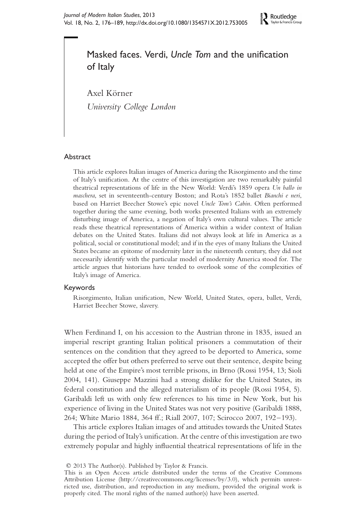

# Masked faces. Verdi, Uncle Tom and the unification of Italy

Axel Körner

University College London

# Abstract

This article explores Italian images of America during the Risorgimento and the time of Italy's unification. At the centre of this investigation are two remarkably painful theatrical representations of life in the New World: Verdi's 1859 opera Un ballo in maschera, set in seventeenth-century Boston; and Rota's 1852 ballet Bianchi e neri, based on Harriet Beecher Stowe's epic novel Uncle Tom's Cabin. Often performed together during the same evening, both works presented Italians with an extremely disturbing image of America, a negation of Italy's own cultural values. The article reads these theatrical representations of America within a wider context of Italian debates on the United States. Italians did not always look at life in America as a political, social or constitutional model; and if in the eyes of many Italians the United States became an epitome of modernity later in the nineteenth century, they did not necessarily identify with the particular model of modernity America stood for. The article argues that historians have tended to overlook some of the complexities of Italy's image of America.

## Keywords

Risorgimento, Italian unification, New World, United States, opera, ballet, Verdi, Harriet Beecher Stowe, slavery.

When Ferdinand I, on his accession to the Austrian throne in 1835, issued an imperial rescript granting Italian political prisoners a commutation of their sentences on the condition that they agreed to be deported to America, some accepted the offer but others preferred to serve out their sentence, despite being held at one of the Empire's most terrible prisons, in Brno (Rossi 1954, 13; Sioli 2004, 141). Giuseppe Mazzini had a strong dislike for the United States, its federal constitution and the alleged materialism of its people (Rossi 1954, 5). Garibaldi left us with only few references to his time in New York, but his experience of living in the United States was not very positive (Garibaldi 1888, 264; White Mario 1884, 364 ff.; Riall 2007, 107; Scirocco 2007, 192–193).

This article explores Italian images of and attitudes towards the United States during the period of Italy's unification. At the centre of this investigation are two extremely popular and highly influential theatrical representations of life in the

 $© 2013$  The Author(s). Published by Taylor & Francis.

This is an Open Access article distributed under the terms of the Creative Commons Attribution License (http://creativecommons.org/licenses/by/3.0), which permits unrestricted use, distribution, and reproduction in any medium, provided the original work is properly cited. The moral rights of the named author(s) have been asserted.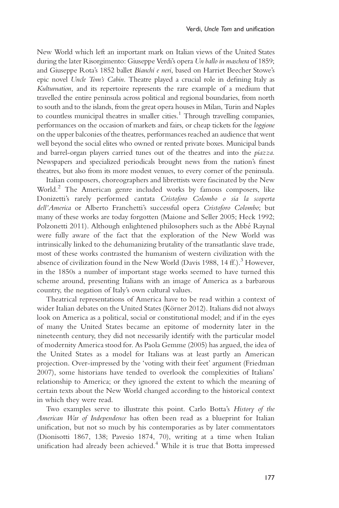New World which left an important mark on Italian views of the United States during the later Risorgimento: Giuseppe Verdi's opera Un ballo in maschera of 1859; and Giuseppe Rota's 1852 ballet Bianchi e neri, based on Harriet Beecher Stowe's epic novel Uncle Tom's Cabin. Theatre played a crucial role in defining Italy as Kulturnation, and its repertoire represents the rare example of a medium that travelled the entire peninsula across political and regional boundaries, from north to south and to the islands, from the great opera houses in Milan, Turin and Naples to countless municipal theatres in smaller cities. <sup>1</sup> Through travelling companies, performances on the occasion of markets and fairs, or cheap tickets for the loggione on the upper balconies of the theatres, performances reached an audience that went well beyond the social elites who owned or rented private boxes. Municipal bands and barrel-organ players carried tunes out of the theatres and into the piazza. Newspapers and specialized periodicals brought news from the nation's finest theatres, but also from its more modest venues, to every corner of the peninsula.

Italian composers, choreographers and librettists were fascinated by the New World.<sup>2</sup> The American genre included works by famous composers, like Donizetti's rarely performed cantata Cristoforo Colombo o sia la scoperta dell'America or Alberto Franchetti's successful opera Cristoforo Colombo; but many of these works are today forgotten (Maione and Seller 2005; Heck 1992; Polzonetti 2011). Although enlightened philosophers such as the Abbé Raynal were fully aware of the fact that the exploration of the New World was intrinsically linked to the dehumanizing brutality of the transatlantic slave trade, most of these works contrasted the humanism of western civilization with the absence of civilization found in the New World (Davis 1988, 14 ff.).<sup>3</sup> However, in the 1850s a number of important stage works seemed to have turned this scheme around, presenting Italians with an image of America as a barbarous country, the negation of Italy's own cultural values.

Theatrical representations of America have to be read within a context of wider Italian debates on the United States (Körner 2012). Italians did not always look on America as a political, social or constitutional model; and if in the eyes of many the United States became an epitome of modernity later in the nineteenth century, they did not necessarily identify with the particular model of modernity America stood for. As Paola Gemme (2005) has argued, the idea of the United States as a model for Italians was at least partly an American projection. Over-impressed by the 'voting with their feet' argument (Friedman 2007), some historians have tended to overlook the complexities of Italians' relationship to America; or they ignored the extent to which the meaning of certain texts about the New World changed according to the historical context in which they were read.

Two examples serve to illustrate this point. Carlo Botta's History of the American War of Independence has often been read as a blueprint for Italian unification, but not so much by his contemporaries as by later commentators (Dionisotti 1867, 138; Pavesio 1874, 70), writing at a time when Italian unification had already been achieved. <sup>4</sup> While it is true that Botta impressed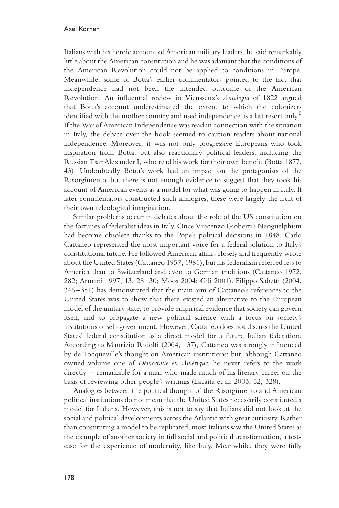Italians with his heroic account of American military leaders, he said remarkably little about the American constitution and he was adamant that the conditions of the American Revolution could not be applied to conditions in Europe. Meanwhile, some of Botta's earlier commentators pointed to the fact that independence had not been the intended outcome of the American Revolution. An influential review in Vieusseux's Antologia of 1822 argued that Botta's account underestimated the extent to which the colonizers identified with the mother country and used independence as a last resort only. 5 If the War of American Independence was read in connection with the situation in Italy, the debate over the book seemed to caution readers about national independence. Moreover, it was not only progressive Europeans who took inspiration from Botta, but also reactionary political leaders, including the Russian Tsar Alexander I, who read his work for their own benefit (Botta 1877, 43). Undoubtedly Botta's work had an impact on the protagonists of the Risorgimento, but there is not enough evidence to suggest that they took his account of American events as a model for what was going to happen in Italy. If later commentators constructed such analogies, these were largely the fruit of their own teleological imagination.

Similar problems occur in debates about the role of the US constitution on the fortunes of federalist ideas in Italy. Once Vincenzo Gioberti's Neoguelphism had become obsolete thanks to the Pope's political decisions in 1848, Carlo Cattaneo represented the most important voice for a federal solution to Italy's constitutional future. He followed American affairs closely and frequently wrote about the United States (Cattaneo 1957, 1981); but his federalism referred less to America than to Switzerland and even to German traditions (Cattaneo 1972, 282; Armani 1997, 13, 28–30; Moos 2004; Gili 2001). Filippo Sabetti (2004, 346–351) has demonstrated that the main aim of Cattaneo's references to the United States was to show that there existed an alternative to the European model of the unitary state; to provide empirical evidence that society can govern itself; and to propagate a new political science with a focus on society's institutions of self-government. However, Cattaneo does not discuss the United States' federal constitution as a direct model for a future Italian federation. According to Maurizio Ridolfi (2004, 137), Cattaneo was strongly influenced by de Tocqueville's thought on American institutions; but, although Cattaneo owned volume one of *Démocratie en Amérique*, he never refers to the work directly – remarkable for a man who made much of his literary career on the basis of reviewing other people's writings (Lacaita et al. 2003, 52, 328).

Analogies between the political thought of the Risorgimento and American political institutions do not mean that the United States necessarily constituted a model for Italians. However, this is not to say that Italians did not look at the social and political developments across the Atlantic with great curiosity. Rather than constituting a model to be replicated, most Italians saw the United States as the example of another society in full social and political transformation, a testcase for the experience of modernity, like Italy. Meanwhile, they were fully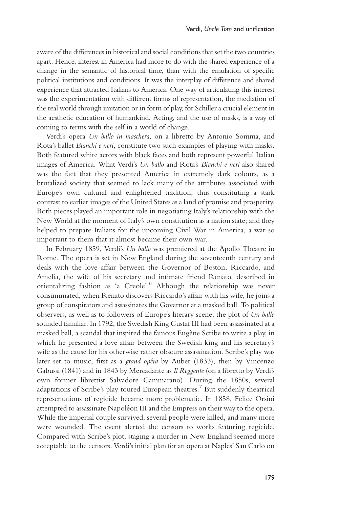aware of the differences in historical and social conditions that set the two countries apart. Hence, interest in America had more to do with the shared experience of a change in the semantic of historical time, than with the emulation of specific political institutions and conditions. It was the interplay of difference and shared experience that attracted Italians to America. One way of articulating this interest was the experimentation with different forms of representation, the mediation of the real world through imitation or in form of play, for Schillera crucial element in the aesthetic education of humankind. Acting, and the use of masks, is a way of coming to terms with the self in a world of change.

Verdi's opera Un ballo in maschera, on a libretto by Antonio Somma, and Rota's ballet Bianchi e neri, constitute two such examples of playing with masks. Both featured white actors with black faces and both represent powerful Italian images of America. What Verdi's Un ballo and Rota's Bianchi e neri also shared was the fact that they presented America in extremely dark colours, as a brutalized society that seemed to lack many of the attributes associated with Europe's own cultural and enlightened tradition, thus constituting a stark contrast to earlier images of the United States as a land of promise and prosperity. Both pieces played an important role in negotiating Italy's relationship with the New World at the moment of Italy's own constitution as a nation state; and they helped to prepare Italians for the upcoming Civil War in America, a war so important to them that it almost became their own war.

In February 1859, Verdi's Un ballo was premiered at the Apollo Theatre in Rome. The opera is set in New England during the seventeenth century and deals with the love affair between the Governor of Boston, Riccardo, and Amelia, the wife of his secretary and intimate friend Renato, described in orientalizing fashion as 'a Creole'.<sup>6</sup> Although the relationship was never consummated, when Renato discovers Riccardo's affair with his wife, he joins a group of conspirators and assassinates the Governor at a masked ball. To political observers, as well as to followers of Europe's literary scene, the plot of Un ballo sounded familiar. In 1792, the Swedish King Gustaf III had been assassinated at a masked ball, a scandal that inspired the famous Eugène Scribe to write a play, in which he presented a love affair between the Swedish king and his secretary's wife as the cause for his otherwise rather obscure assassination. Scribe's play was later set to music, first as a grand opéra by Auber (1833), then by Vincenzo Gabussi (1841) and in 1843 by Mercadante as Il Reggente (on a libretto by Verdi's own former librettist Salvadore Cammarano). During the 1850s, several adaptations of Scribe's play toured European theatres.<sup>7</sup> But suddenly theatrical representations of regicide became more problematic. In 1858, Felice Orsini attempted to assassinate Napoléon III and the Empress on their way to the opera. While the imperial couple survived, several people were killed, and many more were wounded. The event alerted the censors to works featuring regicide. Compared with Scribe's plot, staging a murder in New England seemed more acceptable to the censors. Verdi's initial plan for an opera at Naples' San Carlo on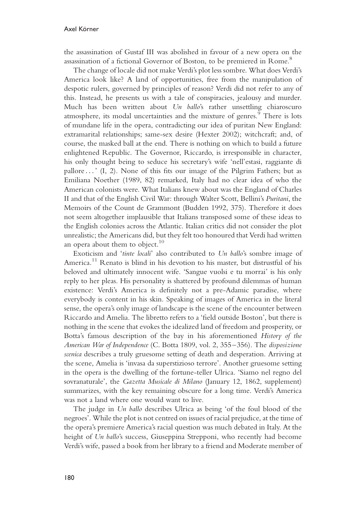the assassination of Gustaf III was abolished in favour of a new opera on the assassination of a fictional Governor of Boston, to be premiered in Rome.<sup>8</sup>

The change of locale did not make Verdi's plot less sombre. What does Verdi's America look like? A land of opportunities, free from the manipulation of despotic rulers, governed by principles of reason? Verdi did not refer to any of this. Instead, he presents us with a tale of conspiracies, jealousy and murder. Much has been written about Un ballo's rather unsettling chiaroscuro atmosphere, its modal uncertainties and the mixture of genres.<sup>9</sup> There is lots of mundane life in the opera, contradicting our idea of puritan New England: extramarital relationships; same-sex desire (Hexter 2002); witchcraft; and, of course, the masked ball at the end. There is nothing on which to build a future enlightened Republic. The Governor, Riccardo, is irresponsible in character, his only thought being to seduce his secretary's wife 'nell'estasi, raggiante di pallore . . . ' (I, 2). None of this fits our image of the Pilgrim Fathers; but as Emiliana Noether (1989, 82) remarked, Italy had no clear idea of who the American colonists were. What Italians knew about was the England of Charles II and that of the English Civil War: through Walter Scott, Bellini's Puritani, the Memoirs of the Count de Grammont (Budden 1992, 375). Therefore it does not seem altogether implausible that Italians transposed some of these ideas to the English colonies across the Atlantic. Italian critics did not consider the plot unrealistic; the Americans did, but they felt too honoured that Verdi had written an opera about them to object. $^{10}$ 

Exoticism and 'tinte locali' also contributed to Un ballo's sombre image of America.<sup>11</sup> Renato is blind in his devotion to his master, but distrustful of his beloved and ultimately innocent wife. 'Sangue vuolsi e tu morrai' is his only reply to her pleas. His personality is shattered by profound dilemmas of human existence: Verdi's America is definitely not a pre-Adamic paradise, where everybody is content in his skin. Speaking of images of America in the literal sense, the opera's only image of landscape is the scene of the encounter between Riccardo and Amelia. The libretto refers to a 'field outside Boston', but there is nothing in the scene that evokes the idealized land of freedom and prosperity, or Botta's famous description of the bay in his aforementioned History of the American War of Independence (C. Botta 1809, vol. 2, 355–356). The disposizione scenica describes a truly gruesome setting of death and desperation. Arriving at the scene, Amelia is 'invasa da superstizioso terrore'. Another gruesome setting in the opera is the dwelling of the fortune-teller Ulrica. 'Siamo nel regno del sovranaturale', the Gazetta Musicale di Milano (January 12, 1862, supplement) summarizes, with the key remaining obscure for a long time. Verdi's America was not a land where one would want to live.

The judge in Un ballo describes Ulrica as being 'of the foul blood of the negroes'. While the plot is not centred on issues of racial prejudice, at the time of the opera's premiere America's racial question was much debated in Italy. At the height of Un ballo's success, Giuseppina Strepponi, who recently had become Verdi's wife, passed a book from her library to a friend and Moderate member of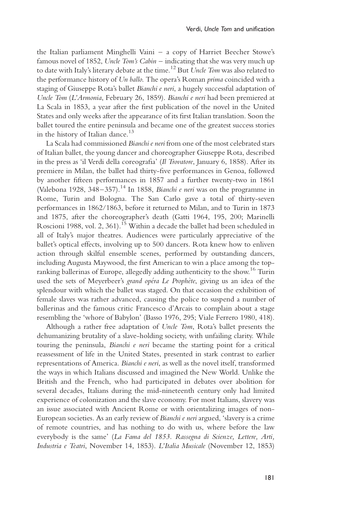the Italian parliament Minghelli Vaini–a copy of Harriet Beecher Stowe's famous novel of 1852, Uncle Tom's Cabin – indicating that she was very much up to date with Italy's literary debate at the time.<sup>12</sup> But *Uncle Tom* was also related to the performance history of Un ballo. The opera's Roman prima coincided with a staging of Giuseppe Rota's ballet Bianchi e neri, a hugely successful adaptation of Uncle Tom (L'Armonia, February 26, 1859). Bianchi e neri had been premiered at La Scala in 1853, a year after the first publication of the novel in the United States and only weeks after the appearance of its first Italian translation. Soon the ballet toured the entire peninsula and became one of the greatest success stories in the history of Italian dance. 13

La Scala had commissioned Bianchi e neri from one of the most celebrated stars of Italian ballet, the young dancer and choreographer Giuseppe Rota, described in the press as 'il Verdi della coreografia' (Il Trovatore, January 6, 1858). After its premiere in Milan, the ballet had thirty-five performances in Genoa, followed by another fifteen performances in 1857 and a further twenty-two in 1861 (Valebona 1928, 348–357).<sup>14</sup> In 1858, Bianchi e neri was on the programme in Rome, Turin and Bologna. The San Carlo gave a total of thirty-seven performances in 1862/1863, before it returned to Milan, and to Turin in 1873 and 1875, after the choreographer's death (Gatti 1964, 195, 200; Marinelli Roscioni 1988, vol. 2, 361).<sup>15</sup> Within a decade the ballet had been scheduled in all of Italy's major theatres. Audiences were particularly appreciative of the ballet's optical effects, involving up to 500 dancers. Rota knew how to enliven action through skilful ensemble scenes, performed by outstanding dancers, including Augusta Maywood, the first American to win a place among the topranking ballerinas of Europe, allegedly adding authenticity to the show. <sup>16</sup> Turin used the sets of Meyerbeer's grand opéra Le Prophète, giving us an idea of the splendour with which the ballet was staged. On that occasion the exhibition of female slaves was rather advanced, causing the police to suspend a number of ballerinas and the famous critic Francesco d'Arcais to complain about a stage resembling the 'whore of Babylon' (Basso 1976, 295; Viale Ferrero 1980, 418).

Although a rather free adaptation of Uncle Tom, Rota's ballet presents the dehumanizing brutality of a slave-holding society, with unfailing clarity. While touring the peninsula, Bianchi e neri became the starting point for a critical reassessment of life in the United States, presented in stark contrast to earlier representations of America. Bianchi e neri, as well as the novel itself, transformed the ways in which Italians discussed and imagined the New World. Unlike the British and the French, who had participated in debates over abolition for several decades, Italians during the mid-nineteenth century only had limited experience of colonization and the slave economy. For most Italians, slavery was an issue associated with Ancient Rome or with orientalizing images of non-European societies. As an early review of Bianchi e neri argued, 'slavery is a crime of remote countries, and has nothing to do with us, where before the law everybody is the same' (La Fama del 1853. Rassegna di Scienze, Lettere, Arti, Industria e Teatri, November 14, 1853). L'Italia Musicale (November 12, 1853)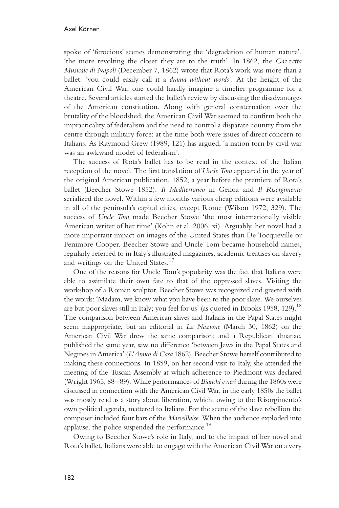spoke of 'ferocious' scenes demonstrating the 'degradation of human nature', 'the more revolting the closer they are to the truth'. In 1862, the Gazzetta Musicale di Napoli (December 7, 1862) wrote that Rota's work was more than a ballet: 'you could easily call it a drama without words'. At the height of the American Civil War, one could hardly imagine a timelier programme for a theatre. Several articles started the ballet's review by discussing the disadvantages of the American constitution. Along with general consternation over the brutality of the bloodshed, the American Civil War seemed to confirm both the impracticality of federalism and the need to control a disparate country from the centre through military force: at the time both were issues of direct concern to Italians. As Raymond Grew (1989, 121) has argued, 'a nation torn by civil war was an awkward model of federalism'.

The success of Rota's ballet has to be read in the context of the Italian reception of the novel. The first translation of Uncle Tom appeared in the year of the original American publication, 1852, a year before the premiere of Rota's ballet (Beecher Stowe 1852). Il Mediterraneo in Genoa and Il Risorgimento serialized the novel. Within a few months various cheap editions were available in all of the peninsula's capital cities, except Rome (Wilson 1972, 329). The success of Uncle Tom made Beecher Stowe 'the most internationally visible American writer of her time' (Kohn et al. 2006, xi). Arguably, her novel had a more important impact on images of the United States than De Tocqueville or Fenimore Cooper. Beecher Stowe and Uncle Tom became household names, regularly referred to in Italy's illustrated magazines, academic treatises on slavery and writings on the United States. 17

One of the reasons for Uncle Tom's popularity was the fact that Italians were able to assimilate their own fate to that of the oppressed slaves. Visiting the workshop of a Roman sculptor, Beecher Stowe was recognized and greeted with the words: 'Madam, we know what you have been to the poor slave. We ourselves are but poor slaves still in Italy; you feel for us' (as quoted in Brooks 1958, 129).<sup>18</sup> The comparison between American slaves and Italians in the Papal States might seem inappropriate, but an editorial in La Nazione (March 30, 1862) on the American Civil War drew the same comparison; and a Republican almanac, published the same year, saw no difference 'between Jews in the Papal States and Negroes in America' (L'Amico di Casa 1862). Beecher Stowe herself contributed to making these connections. In 1859, on her second visit to Italy, she attended the meeting of the Tuscan Assembly at which adherence to Piedmont was declared (Wright 1965, 88–89). While performances of Bianchi e neri during the 1860s were discussed in connection with the American Civil War, in the early 1850s the ballet was mostly read as a story about liberation, which, owing to the Risorgimento's own political agenda, mattered to Italians. For the scene of the slave rebellion the composer included four bars of the Marseillaise. When the audience exploded into applause, the police suspended the performance.<sup>19</sup>

Owing to Beecher Stowe's role in Italy, and to the impact of her novel and Rota's ballet, Italians were able to engage with the American Civil War on a very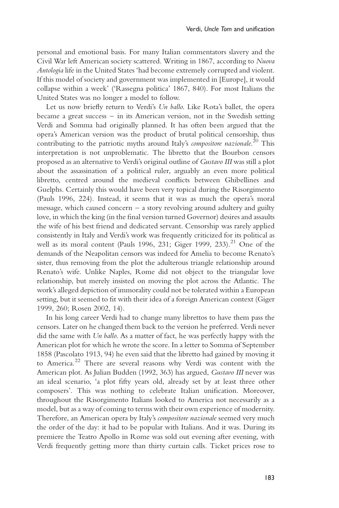personal and emotional basis. For many Italian commentators slavery and the Civil War left American society scattered. Writing in 1867, according to Nuova Antologia life in the United States 'had become extremely corrupted and violent. If this model of society and government was implemented in [Europe], it would collapse within a week' ('Rassegna politica' 1867, 840). For most Italians the United States was no longer a model to follow.

Let us now briefly return to Verdi's Un ballo. Like Rota's ballet, the opera became a great success – in its American version, not in the Swedish setting Verdi and Somma had originally planned. It has often been argued that the opera's American version was the product of brutal political censorship, thus contributing to the patriotic myths around Italy's compositore nazionale.<sup>20</sup> This interpretation is not unproblematic. The libretto that the Bourbon censors proposed as an alternative to Verdi's original outline of Gustavo III was still a plot about the assassination of a political ruler, arguably an even more political libretto, centred around the medieval conflicts between Ghibellines and Guelphs. Certainly this would have been very topical during the Risorgimento (Pauls 1996, 224). Instead, it seems that it was as much the opera's moral message, which caused concern – a story revolving around adultery and guilty love, in which the king (in the final version turned Governor) desires and assaults the wife of his best friend and dedicated servant. Censorship was rarely applied consistently in Italy and Verdi's work was frequently criticized for its political as well as its moral content (Pauls 1996, 231; Giger 1999, 233).<sup>21</sup> One of the demands of the Neapolitan censors was indeed for Amelia to become Renato's sister, thus removing from the plot the adulterous triangle relationship around Renato's wife. Unlike Naples, Rome did not object to the triangular love relationship, but merely insisted on moving the plot across the Atlantic. The work's alleged depiction of immorality could not be tolerated within a European setting, but it seemed to fit with their idea of a foreign American context (Giger 1999, 260; Rosen 2002, 14).

In his long career Verdi had to change many librettos to have them pass the censors. Later on he changed them back to the version he preferred. Verdi never did the same with Un ballo. As a matter of fact, he was perfectly happy with the American plot for which he wrote the score. In a letter to Somma of September 1858 (Pascolato 1913, 94) he even said that the libretto had gained by moving it to America.<sup>22</sup> There are several reasons why Verdi was content with the American plot. As Julian Budden (1992, 363) has argued, Gustavo III never was an ideal scenario, 'a plot fifty years old, already set by at least three other composers'. This was nothing to celebrate Italian unification. Moreover, throughout the Risorgimento Italians looked to America not necessarily as a model, but as a way of coming to terms with their own experience of modernity. Therefore, an American opera by Italy's compositore nazionale seemed very much the order of the day: it had to be popular with Italians. And it was. During its premiere the Teatro Apollo in Rome was sold out evening after evening, with Verdi frequently getting more than thirty curtain calls. Ticket prices rose to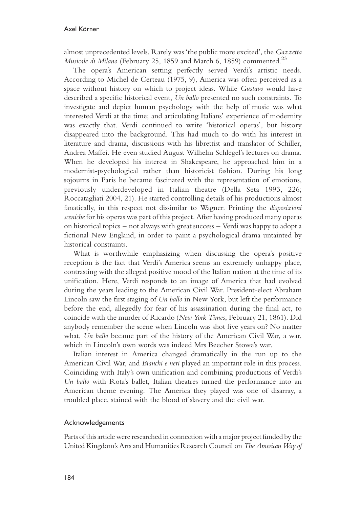almost unprecedented levels. Rarely was 'the public more excited', the Gazzetta Musicale di Milano (February 25, 1859 and March 6, 1859) commented.<sup>23</sup>

The opera's American setting perfectly served Verdi's artistic needs. According to Michel de Certeau (1975, 9), America was often perceived as a space without history on which to project ideas. While Gustavo would have described a specific historical event, Un ballo presented no such constraints. To investigate and depict human psychology with the help of music was what interested Verdi at the time; and articulating Italians' experience of modernity was exactly that. Verdi continued to write 'historical operas', but history disappeared into the background. This had much to do with his interest in literature and drama, discussions with his librettist and translator of Schiller, Andrea Maffei. He even studied August Wilhelm Schlegel's lectures on drama. When he developed his interest in Shakespeare, he approached him in a modernist-psychological rather than historicist fashion. During his long sojourns in Paris he became fascinated with the representation of emotions, previously underdeveloped in Italian theatre (Della Seta 1993, 226; Roccatagliati 2004, 21). He started controlling details of his productions almost fanatically, in this respect not dissimilar to Wagner. Printing the *disposizioni* sceniche for his operas was part of this project. After having produced many operas on historical topics – not always with great success – Verdi was happy to adopt a fictional New England, in order to paint a psychological drama untainted by historical constraints.

What is worthwhile emphasizing when discussing the opera's positive reception is the fact that Verdi's America seems an extremely unhappy place, contrasting with the alleged positive mood of the Italian nation at the time of its unification. Here, Verdi responds to an image of America that had evolved during the years leading to the American Civil War. President-elect Abraham Lincoln saw the first staging of Un ballo in New York, but left the performance before the end, allegedly for fear of his assassination during the final act, to coincide with the murder of Ricardo (New York Times, February 21, 1861). Did anybody remember the scene when Lincoln was shot five years on? No matter what, Un ballo became part of the history of the American Civil War, a war, which in Lincoln's own words was indeed Mrs Beecher Stowe's war.

Italian interest in America changed dramatically in the run up to the American Civil War, and Bianchi e neri played an important role in this process. Coinciding with Italy's own unification and combining productions of Verdi's Un ballo with Rota's ballet, Italian theatres turned the performance into an American theme evening. The America they played was one of disarray, a troubled place, stained with the blood of slavery and the civil war.

#### Acknowledgements

Parts of this article were researched in connection with a major project funded by the United Kingdom's Arts and Humanities Research Council on The American Way of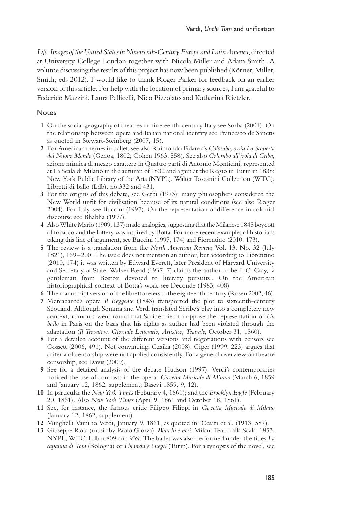Life. Images of the United States in Nineteenth-Century Europe and Latin America, directed at University College London together with Nicola Miller and Adam Smith. A volume discussing the results of this project has now been published (Körner, Miller, Smith, eds 2012). I would like to thank Roger Parker for feedback on an earlier version of this article. For help with the location of primary sources, I am grateful to Federico Mazzini, Laura Pellicelli, Nico Pizzolato and Katharina Rietzler.

### Notes

- 1 On the social geography of theatres in nineteenth-century Italy see Sorba (2001). On the relationship between opera and Italian national identity see Francesco de Sanctis as quoted in Stewart-Steinberg (2007, 15).
- 2 For American themes in ballet, see also Raimondo Fidanza's Colombo, ossia La Scoperta del Nuovo Mondo (Genoa, 1802; Cohen 1963, 558). See also Colombo all'isola di Cuba, azione mimica di mezzo carattere in Quattro parti di Antonio Monticini, represented at La Scala di Milano in the autumn of 1832 and again at the Regio in Turin in 1838: New York Public Library of the Arts (NYPL), Walter Toscanini Collection (WTC), Libretti di ballo (Ldb), no.332 and 431.
- 3 For the origins of this debate, see Gerbi (1973): many philosophers considered the New World unfit for civilisation because of its natural conditions (see also Roger 2004). For Italy, see Buccini (1997). On the representation of difference in colonial discourse see Bhabha (1997).
- 4 Also White Mario (1909, 137) made analogies, suggesting that the Milanese 1848 boycott of tobacco and the lottery was inspired by Botta. For more recent examples of historians taking this line of argument, see Buccini (1997, 174) and Fiorentino (2010, 173).
- 5 The review is a translation from the North American Review, Vol. 13, No. 32 (July 1821), 169–200. The issue does not mention an author, but according to Fiorentino (2010, 174) it was written by Edward Everett, later President of Harvard University and Secretary of State. Walker Read (1937, 7) claims the author to be F. C. Cray, 'a gentleman from Boston devoted to literary pursuits'. On the American historiographical context of Botta's work see Deconde (1983, 408).
- 6 The manuscript version of the libretto refersto the eighteenth century (Rosen 2002, 46).
- 7 Mercadante's opera Il Reggente (1843) transported the plot to sixteenth-century Scotland. Although Somma and Verdi translated Scribe's play into a completely new context, rumours went round that Scribe tried to oppose the representation of Un ballo in Paris on the basis that his rights as author had been violated through the adaptation (Il Trovatore. Giornale Letterario, Artistico, Teatrale, October 31, 1860).
- 8 For a detailed account of the different versions and negotiations with censors see Gossett (2006, 491). Not convincing: Czaika (2008). Giger (1999, 223) argues that criteria of censorship were not applied consistently. For a general overview on theatre censorship, see Davis (2009).
- 9 See for a detailed analysis of the debate Hudson (1997). Verdi's contemporaries noticed the use of contrasts in the opera: Gazetta Musicale di Milano (March 6, 1859 and January 12, 1862, supplement; Basevi 1859, 9, 12).
- 10 In particular the New York Times (Feburary 4, 1861); and the Brooklyn Eagle (February 20, 1861). Also New York Times (April 9, 1861 and October 18, 1861).
- 11 See, for instance, the famous critic Filippo Filippi in Gazetta Musicale di Milano (January 12, 1862, supplement).
- 12 Minghelli Vaini to Verdi, January 9, 1861, as quoted in: Cesari et al. (1913, 587).
- 13 Giuseppe Rota (music by Paolo Giorza), Bianchi e neri. Milan: Teatro alla Scala, 1853. NYPL, WTC, Ldb n.809 and 939. The ballet was also performed under the titles La capanna di Tom (Bologna) or I bianchi e i negri (Turin). For a synopsis of the novel, see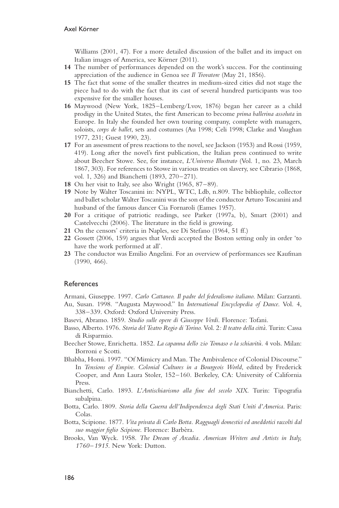Williams (2001, 47). For a more detailed discussion of the ballet and its impact on Italian images of America, see Körner (2011).

- 14 The number of performances depended on the work's success. For the continuing appreciation of the audience in Genoa see Il Trovatore (May 21, 1856).
- 15 The fact that some of the smaller theatres in medium-sized cities did not stage the piece had to do with the fact that its cast of several hundred participants was too expensive for the smaller houses.
- 16 Maywood (New York, 1825–Lemberg/Lvov, 1876) began her career as a child prodigy in the United States, the first American to become prima ballerina assoluta in Europe. In Italy she founded her own touring company, complete with managers, soloists, corps de ballet, sets and costumes (Au 1998; Celi 1998; Clarke and Vaughan 1977, 231; Guest 1990, 23).
- 17 For an assessment of press reactions to the novel, see Jackson (1953) and Rossi (1959, 419). Long after the novel's first publication, the Italian press continued to write about Beecher Stowe. See, for instance, L'Universo Illustrato (Vol. 1, no. 23, March 1867, 303). For references to Stowe in various treaties on slavery, see Cibrario (1868, vol. 1, 326) and Bianchetti (1893, 270–271).
- 18 On her visit to Italy, see also Wright (1965, 87–89).
- 19 Note by Walter Toscanini in: NYPL, WTC, Ldb, n.809. The bibliophile, collector and ballet scholar Walter Toscanini was the son of the conductor Arturo Toscanini and husband of the famous dancer Cia Fornaroli (Eames 1957).
- 20 For a critique of patriotic readings, see Parker (1997a, b), Smart (2001) and Castelvecchi (2006). The literature in the field is growing.
- 21 On the censors' criteria in Naples, see Di Stefano (1964, 51 ff.)
- 22 Gossett (2006, 159) argues that Verdi accepted the Boston setting only in order 'to have the work performed at all'.
- 23 The conductor was Emilio Angelini. For an overview of performances see Kaufman (1990, 466).

#### References

Armani, Giuseppe. 1997. Carlo Cattaneo. Il padre del federalismo italiano. Milan: Garzanti. Au, Susan. 1998. "Augusta Maywood." In International Encyclopedia of Dance. Vol. 4,

- 338–339. Oxford: Oxford University Press.
- Basevi, Abramo. 1859. Studio sulle opere di Giuseppe Verdi. Florence: Tofani.
- Basso, Alberto. 1976. Storia del Teatro Regio di Torino. Vol. 2: Il teatro della città. Turin: Cassa di Risparmio.
- Beecher Stowe, Enrichetta. 1852. La capanna dello zio Tomaso o la schiavitù. 4 vols. Milan: Borroni e Scotti.
- Bhabha, Homi. 1997. "Of Mimicry and Man. The Ambivalence of Colonial Discourse." In Tensions of Empire. Colonial Cultures in a Bourgeois World, edited by Frederick Cooper, and Ann Laura Stoler, 152–160. Berkeley, CA: University of California Press.
- Bianchetti, Carlo. 1893. L'Antischiavismo alla fine del secolo XIX. Turin: Tipografia subalpina.
- Botta, Carlo. 1809. Storia della Guerra dell'Indipendenza degli Stati Uniti d'America. Paris: Colas.
- Botta, Scipione. 1877. Vita privata di Carlo Botta. Ragguagli domestici ed aneddotici raccolti dal suo maggior figlio Scipione. Florence: Barbèra.
- Brooks, Van Wyck. 1958. The Dream of Arcadia. American Writers and Artists in Italy, 1760–1915. New York: Dutton.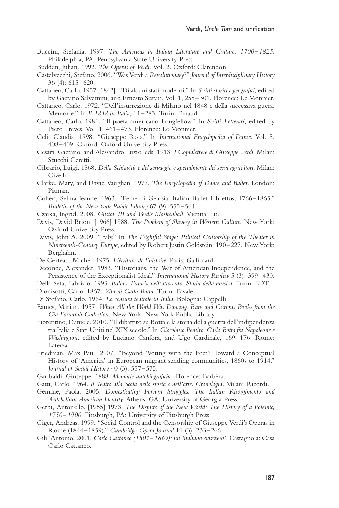- Buccini, Stefania. 1997. The Americas in Italian Literature and Culture: 1700–1825. Philadelphia, PA: Pennsylvania State University Press.
- Budden, Julian. 1992. The Operas of Verdi. Vol. 2. Oxford: Clarendon.
- Castelvecchi, Stefano. 2006. "Was Verdi a Revolutionary?" Journal of Interdisciplinary History 36 (4): 615–620.
- Cattaneo, Carlo. 1957 [1842]. "Di alcuni stati moderni." In Scritti storici e geografici, edited by Gaetano Salvemini, and Ernesto Sestan. Vol. 1, 255–301. Florence: Le Monnier.
- Cattaneo, Carlo. 1972. "Dell'insurrezione di Milano nel 1848 e della successiva guera. Memorie." In Il 1848 in Italia, 11-283. Turin: Einaudi.
- Cattaneo, Carlo. 1981. "Il poeta americano Longfellow." In Scritti Letterari, edited by Piero Treves. Vol. 1, 461–473. Florence: Le Monnier.
- Celi, Claudia. 1998. "Giuseppe Rota." In International Encyclopedia of Dance. Vol. 5, 408–409. Oxford: Oxford University Press.
- Cesari, Gaetano, and Alessandro Luzio, eds. 1913. I Copialettere di Giuseppe Verdi. Milan: Stucchi Ceretti.
- Cibrario, Luigi. 1868. Della Schiavitù e del servaggio e specialmente dei servi agricoltori. Milan: Civelli.
- Clarke, Mary, and David Vaughan. 1977. The Encyclopedia of Dance and Ballet. London: Pitman.
- Cohen, Selma Jeanne. 1963. "Feme di Gelosia! Italian Ballet Librettos, 1766–1865." Bulletin of the New York Public Library 67 (9): 555–564.
- Czaika, Ingrid. 2008. Gustav III und Verdis Maskenball. Vienna: Lit.
- Davis, David Brion. [1966] 1988. The Problem of Slavery in Western Culture. New York: Oxford University Press.
- Davis, John A. 2009. "Italy." In The Frightful Stage: Political Censorship of the Theater in Nineteenth-Century Europe, edited by Robert Justin Goldstein, 190–227. New York: Berghahn.
- De Certeau, Michel. 1975. L'écriture de l'histoire. Paris: Gallimard.
- Deconde, Alexander. 1983. "Historians, the War of American Independence, and the Persistence of the Exceptionalist Ideal." International History Review 5 (3): 399–430.
- Della Seta, Fabrizio. 1993. Italia e Francia nell'ottocento. Storia della musica. Turin: EDT.
- Dionisotti, Carlo. 1867. Vita di Carlo Botta. Turin: Favale.
- Di Stefano, Carlo. 1964. La censura teatrale in Italia. Bologna: Cappelli.
- Eames, Marian. 1957. When All the World Was Dancing. Rare and Curious Books from the Cia Fornaroli Collection. New York: New York Public Library.
- Fiorentino, Daniele. 2010. "Il dibattito su Botta e la storia della guerra dell'indipendenza tra Italia e Stati Uniti nel XIX secolo." In Giacobino Pentito. Carlo Botta fra Napoleone e Washington, edited by Luciano Canfora, and Ugo Cardinale, 169–176. Rome: Laterza.
- Friedman, Max Paul. 2007. "Beyond 'Voting with the Feet': Toward a Conceptual History of 'America' in European migrant sending communities, 1860s to 1914." Journal of Social History 40 (3): 557–575.
- Garibaldi, Giuseppe. 1888. Memorie autobiografiche. Florence: Barbèra.
- Gatti, Carlo. 1964. Il Teatro alla Scala nella storia e nell'arte. Cronologia. Milan: Ricordi.
- Gemme, Paola. 2005. Domesticating Foreign Struggles. The Italian Risorgimento and Antebellum American Identity. Athens, GA: University of Georgia Press.
- Gerbi, Antonello. [1955] 1973. The Dispute of the New World: The History of a Polemic, 1750–1900. Pittsburgh, PA: University of Pittsburgh Press.
- Giger, Andreas. 1999. "Social Control and the Censorship of Giuseppe Verdi's Operas in Rome (1844–1859)." Cambridge Opera Journal 11 (3): 233–266.
- Gili, Antonio. 2001. Carlo Cattaneo (1801–1869): un 'italiano svizzero'. Castagnola: Casa Carlo Cattaneo.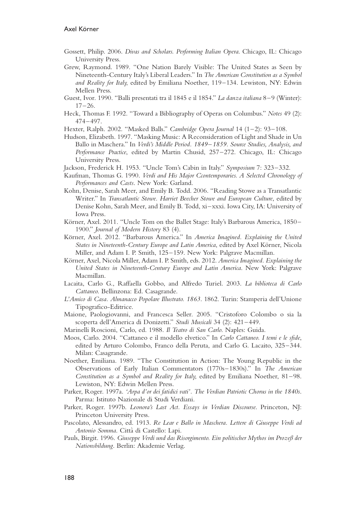- Gossett, Philip. 2006. Divas and Scholars. Performing Italian Opera. Chicago, IL: Chicago University Press.
- Grew, Raymond. 1989. "One Nation Barely Visible: The United States as Seen by Nineteenth-Century Italy's Liberal Leaders." In The American Constitution as a Symbol and Reality for Italy, edited by Emiliana Noether, 119–134. Lewiston, NY: Edwin Mellen Press.
- Guest, Ivor. 1990. "Balli presentati tra il 1845 e il 1854." La danza italiana 8–9 (Winter):  $17-26$ .
- Heck, Thomas F. 1992. "Toward a Bibliography of Operas on Columbus." Notes 49 (2): 474–497.
- Hexter, Ralph. 2002. "Masked Balls." Cambridge Opera Journal 14 (1–2): 93–108.
- Hudson, Elizabeth. 1997. "Masking Music: A Reconsideration of Light and Shade in Un Ballo in Maschera." In Verdi's Middle Period. 1849–1859. Source Studies, Analysis, and Performance Practice, edited by Martin Chusid, 257–272. Chicago, IL: Chicago University Press.
- Jackson, Frederick H. 1953. "Uncle Tom's Cabin in Italy." Symposium 7: 323–332.
- Kaufman, Thomas G. 1990. Verdi and His Major Ccontemporaries. A Selected Chronology of Performances and Casts. New York: Garland.
- Kohn, Denise, Sarah Meer, and Emily B. Todd. 2006. "Reading Stowe as a Transatlantic Writer." In Transatlantic Stowe. Harriet Beecher Stowe and European Culture, edited by Denise Kohn, Sarah Meer, and Emily B. Todd, xi–xxxi. Iowa City, IA: University of Iowa Press.
- Körner, Axel. 2011. "Uncle Tom on the Ballet Stage: Italy's Barbarous America, 1850– 1900." Journal of Modern History 83 (4).
- Körner, Axel. 2012. "Barbarous America." In America Imagined. Explaining the United States in Nineteenth-Century Europe and Latin America, edited by Axel Körner, Nicola Miller, and Adam I. P. Smith, 125–159. New York: Palgrave Macmillan.
- Körner, Axel, Nicola Miller, Adam I. P. Smith, eds. 2012. America Imagined. Explaining the United States in Nineteenth-Century Europe and Latin America. New York: Palgrave Macmillan.
- Lacaita, Carlo G., Raffaella Gobbo, and Alfredo Turiel. 2003. La biblioteca di Carlo Cattaneo. Bellinzona: Ed. Casagrande.
- L'Amico di Casa. Almanacco Popolare Illustrato. 1863. 1862. Turin: Stamperia dell'Unione Tipografico-Editrice.
- Maione, Paologiovanni, and Francesca Seller. 2005. "Cristoforo Colombo o sia la scoperta dell'America di Donizetti." Studi Musicali 34 (2): 421–449.
- Marinelli Roscioni, Carlo, ed. 1988. Il Teatro di San Carlo. Naples: Guida.
- Moos, Carlo. 2004. "Cattaneo e il modello elvetico." In Carlo Cattaneo. I temi e le sfide, edited by Arturo Colombo, Franco della Peruta, and Carlo G. Lacaito, 325–344. Milan: Casagrande.
- Noether, Emiliana. 1989. "The Constitution in Action: The Young Republic in the Observations of Early Italian Commentators (1770s–1830s)." In The American Constitution as a Symbol and Reality for Italy, edited by Emiliana Noether, 81-98. Lewiston, NY: Edwin Mellen Press.
- Parker, Roger. 1997a. 'Arpa d'or dei fatidici vati'. The Verdian Patriotic Chorus in the 1840s. Parma: Istituto Nazionale di Studi Verdiani.
- Parker, Roger. 1997b. Leonora's Last Act. Essays in Verdian Discourse. Princeton, NJ: Princeton University Press.
- Pascolato, Alessandro, ed. 1913. Re Lear e Ballo in Maschera. Lettere di Giuseppe Verdi ad Antonio Somma. Città di Castello: Lapi.
- Pauls, Birgit. 1996. Giuseppe Verdi und das Risorgimento. Ein politischer Mythos im Prozeß der Nationsbildung. Berlin: Akademie Verlag.